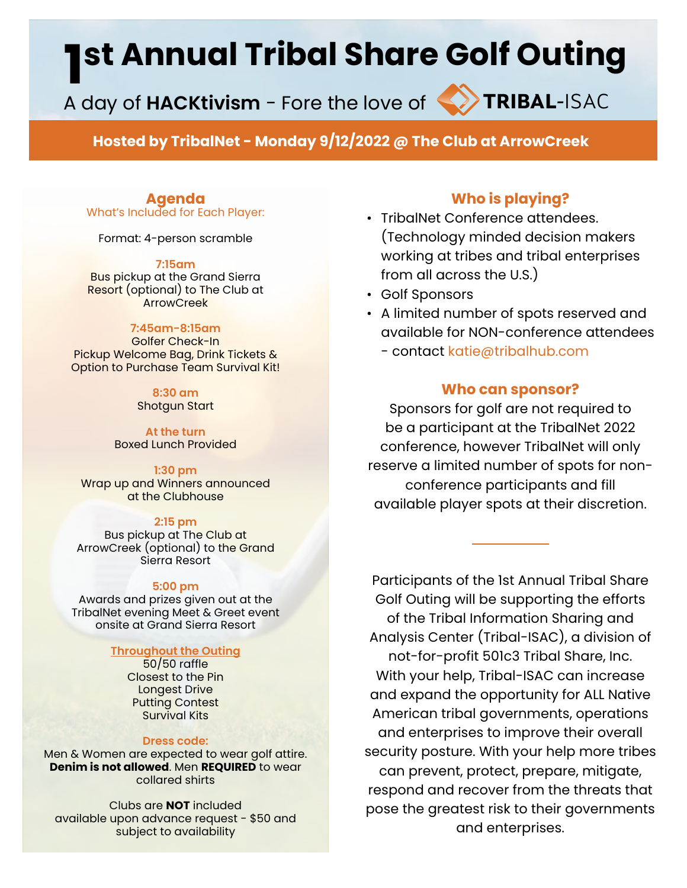# **1st Annual Tribal Share Golf Outing<br>A day of HACKtivism - Fore the love of Source Resear-ISAC**

A day of **HACKtivism** - Fore the love of

**Hosted by TribalNet - Monday 9/12/2022 @ The Club at ArrowCreek**

### **Agenda**

What's Included for Each Player:

Format: 4-person scramble

#### **7:15am**

Bus pickup at the Grand Sierra Resort (optional) to The Club at **ArrowCreek** 

#### **7:45am-8:15am**

Golfer Check-In Pickup Welcome Bag, Drink Tickets & Option to Purchase Team Survival Kit!

> **8:30 am**  Shotgun Start

**At the turn** Boxed Lunch Provided

**1:30 pm** Wrap up and Winners announced at the Clubhouse

#### **2:15 pm**

Bus pickup at The Club at ArrowCreek (optional) to the Grand Sierra Resort

#### **5:00 pm**

Awards and prizes given out at the TribalNet evening Meet & Greet event onsite at Grand Sierra Resort

#### **Throughout the Outing**

50/50 raffle Closest to the Pin Longest Drive Putting Contest Survival Kits

#### **Dress code:**

Men & Women are expected to wear golf attire. **Denim is not allowed**. Men **REQUIRED** to wear collared shirts

Clubs are **NOT** included available upon advance request - \$50 and subject to availability

# **Who is playing?**

- TribalNet Conference attendees. (Technology minded decision makers working at tribes and tribal enterprises from all across the U.S.)
- Golf Sponsors
- A limited number of spots reserved and available for NON-conference attendees - contact katie@tribalhub.com

#### **Who can sponsor?**

Sponsors for golf are not required to be a participant at the TribalNet 2022 conference, however TribalNet will only reserve a limited number of spots for nonconference participants and fill available player spots at their discretion.

Participants of the 1st Annual Tribal Share Golf Outing will be supporting the efforts of the Tribal Information Sharing and Analysis Center (Tribal-ISAC), a division of not-for-profit 501c3 Tribal Share, Inc. With your help, Tribal-ISAC can increase and expand the opportunity for ALL Native American tribal governments, operations and enterprises to improve their overall security posture. With your help more tribes can prevent, protect, prepare, mitigate, respond and recover from the threats that pose the greatest risk to their governments and enterprises.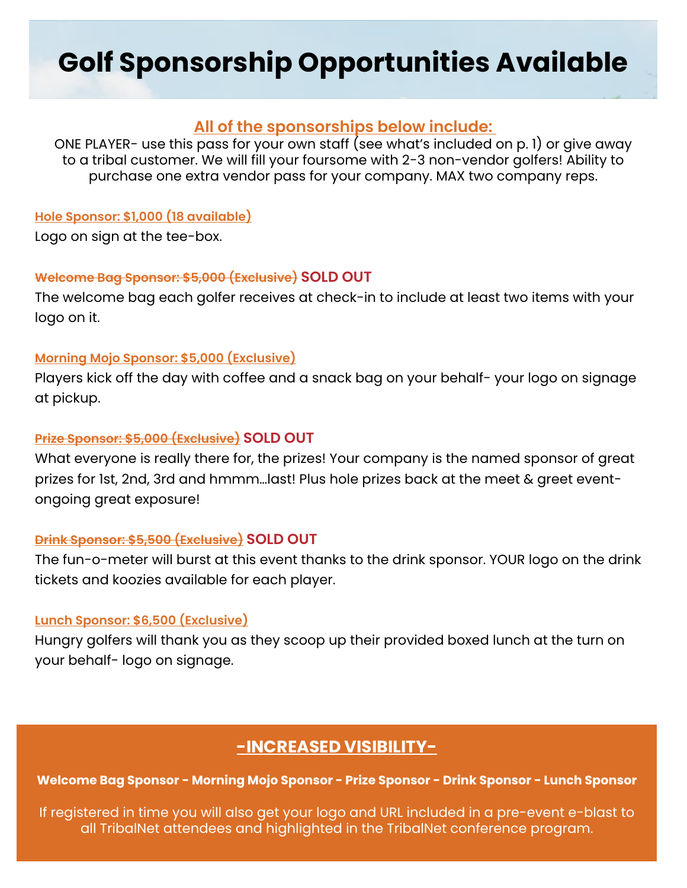# **Golf Sponsorship Opportunities Available**

# **All of the sponsorships below include:**

ONE PLAYER- use this pass for your own staff (see what's included on p. 1) or give away to a tribal customer. We will fill your foursome with 2-3 non-vendor golfers! Ability to purchase one extra vendor pass for your company. MAX two company reps.

### **Hole Sponsor: \$1,000 (18 available)**

Logo on sign at the tee-box.

#### **Welcome Bag Sponsor: \$5,000 (Exclusive) SOLD OUT**

The welcome bag each golfer receives at check-in to include at least two items with your logo on it.

### **Morning Mojo Sponsor: \$5,000 (Exclusive)**

Players kick off the day with coffee and a snack bag on your behalf- your logo on signage at pickup.

### **Prize Sponsor: \$5,000 (Exclusive) SOLD OUT**

What everyone is really there for, the prizes! Your company is the named sponsor of great prizes for 1st, 2nd, 3rd and hmmm…last! Plus hole prizes back at the meet & greet eventongoing great exposure!

### **Drink Sponsor: \$5,500 (Exclusive) SOLD OUT**

The fun-o-meter will burst at this event thanks to the drink sponsor. YOUR logo on the drink tickets and koozies available for each player.

### **Lunch Sponsor: \$6,500 (Exclusive)**

Hungry golfers will thank you as they scoop up their provided boxed lunch at the turn on your behalf- logo on signage.

# **-INCREASED VISIBILITY-**

**Welcome Bag Sponsor - Morning Mojo Sponsor - Prize Sponsor - Drink Sponsor - Lunch Sponsor** 

If registered in time you will also get your logo and URL included in a pre-event e-blast to all TribalNet attendees and highlighted in the TribalNet conference program.